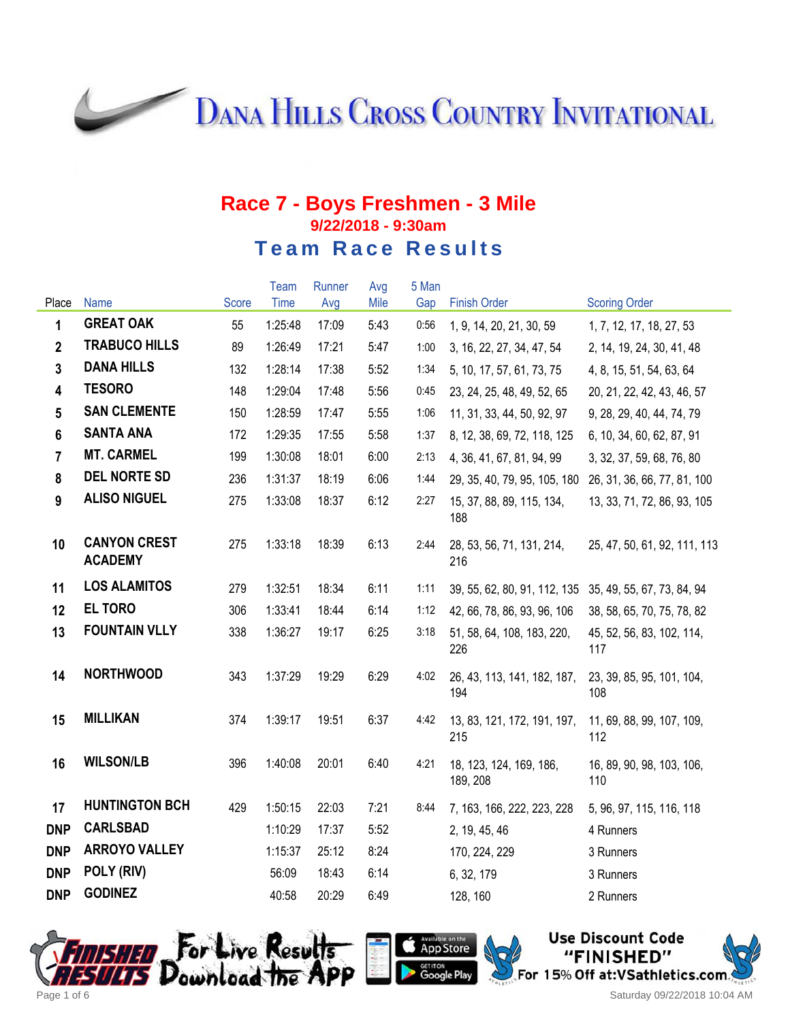**DANA HILLS CROSS COUNTRY INVITATIONAL** 

|                         |                                       |       | Team    | Runner | Avg  | 5 Man |                                     |                                  |
|-------------------------|---------------------------------------|-------|---------|--------|------|-------|-------------------------------------|----------------------------------|
| Place                   | <b>Name</b>                           | Score | Time    | Avg    | Mile | Gap   | <b>Finish Order</b>                 | <b>Scoring Order</b>             |
| 1                       | <b>GREAT OAK</b>                      | 55    | 1:25:48 | 17:09  | 5:43 | 0:56  | 1, 9, 14, 20, 21, 30, 59            | 1, 7, 12, 17, 18, 27, 53         |
| $\overline{2}$          | <b>TRABUCO HILLS</b>                  | 89    | 1:26:49 | 17:21  | 5:47 | 1:00  | 3, 16, 22, 27, 34, 47, 54           | 2, 14, 19, 24, 30, 41, 48        |
| $\mathbf{3}$            | <b>DANA HILLS</b>                     | 132   | 1:28:14 | 17:38  | 5:52 | 1:34  | 5, 10, 17, 57, 61, 73, 75           | 4, 8, 15, 51, 54, 63, 64         |
| $\overline{\mathbf{4}}$ | <b>TESORO</b>                         | 148   | 1:29:04 | 17:48  | 5:56 | 0:45  | 23, 24, 25, 48, 49, 52, 65          | 20, 21, 22, 42, 43, 46, 57       |
| 5                       | <b>SAN CLEMENTE</b>                   | 150   | 1:28:59 | 17:47  | 5:55 | 1:06  | 11, 31, 33, 44, 50, 92, 97          | 9, 28, 29, 40, 44, 74, 79        |
| 6                       | <b>SANTA ANA</b>                      | 172   | 1:29:35 | 17:55  | 5:58 | 1:37  | 8, 12, 38, 69, 72, 118, 125         | 6, 10, 34, 60, 62, 87, 91        |
| $\overline{7}$          | <b>MT. CARMEL</b>                     | 199   | 1:30:08 | 18:01  | 6:00 | 2:13  | 4, 36, 41, 67, 81, 94, 99           | 3, 32, 37, 59, 68, 76, 80        |
| 8                       | <b>DEL NORTE SD</b>                   | 236   | 1:31:37 | 18:19  | 6:06 | 1:44  | 29, 35, 40, 79, 95, 105, 180        | 26, 31, 36, 66, 77, 81, 100      |
| 9                       | <b>ALISO NIGUEL</b>                   | 275   | 1:33:08 | 18:37  | 6:12 | 2:27  | 15, 37, 88, 89, 115, 134,<br>188    | 13, 33, 71, 72, 86, 93, 105      |
| 10                      | <b>CANYON CREST</b><br><b>ACADEMY</b> | 275   | 1:33:18 | 18:39  | 6:13 | 2:44  | 28, 53, 56, 71, 131, 214,<br>216    | 25, 47, 50, 61, 92, 111, 113     |
| 11                      | <b>LOS ALAMITOS</b>                   | 279   | 1:32:51 | 18:34  | 6:11 | 1:11  | 39, 55, 62, 80, 91, 112, 135        | 35, 49, 55, 67, 73, 84, 94       |
| 12                      | <b>EL TORO</b>                        | 306   | 1:33:41 | 18:44  | 6:14 | 1:12  | 42, 66, 78, 86, 93, 96, 106         | 38, 58, 65, 70, 75, 78, 82       |
| 13                      | <b>FOUNTAIN VLLY</b>                  | 338   | 1:36:27 | 19:17  | 6:25 | 3:18  | 51, 58, 64, 108, 183, 220,<br>226   | 45, 52, 56, 83, 102, 114,<br>117 |
| 14                      | <b>NORTHWOOD</b>                      | 343   | 1:37:29 | 19:29  | 6:29 | 4:02  | 26, 43, 113, 141, 182, 187,<br>194  | 23, 39, 85, 95, 101, 104,<br>108 |
| 15                      | <b>MILLIKAN</b>                       | 374   | 1:39:17 | 19:51  | 6:37 | 4:42  | 13, 83, 121, 172, 191, 197,<br>215  | 11, 69, 88, 99, 107, 109,<br>112 |
| 16                      | <b>WILSON/LB</b>                      | 396   | 1:40:08 | 20:01  | 6:40 | 4:21  | 18, 123, 124, 169, 186,<br>189, 208 | 16, 89, 90, 98, 103, 106,<br>110 |
| 17                      | <b>HUNTINGTON BCH</b>                 | 429   | 1:50:15 | 22:03  | 7:21 | 8:44  | 7, 163, 166, 222, 223, 228          | 5, 96, 97, 115, 116, 118         |
| <b>DNP</b>              | <b>CARLSBAD</b>                       |       | 1:10:29 | 17:37  | 5:52 |       | 2, 19, 45, 46                       | 4 Runners                        |
| <b>DNP</b>              | <b>ARROYO VALLEY</b>                  |       | 1:15:37 | 25:12  | 8:24 |       | 170, 224, 229                       | 3 Runners                        |
| <b>DNP</b>              | POLY (RIV)                            |       | 56:09   | 18:43  | 6:14 |       | 6, 32, 179                          | 3 Runners                        |
| <b>DNP</b>              | <b>GODINEZ</b>                        |       | 40:58   | 20:29  | 6:49 |       | 128, 160                            | 2 Runners                        |





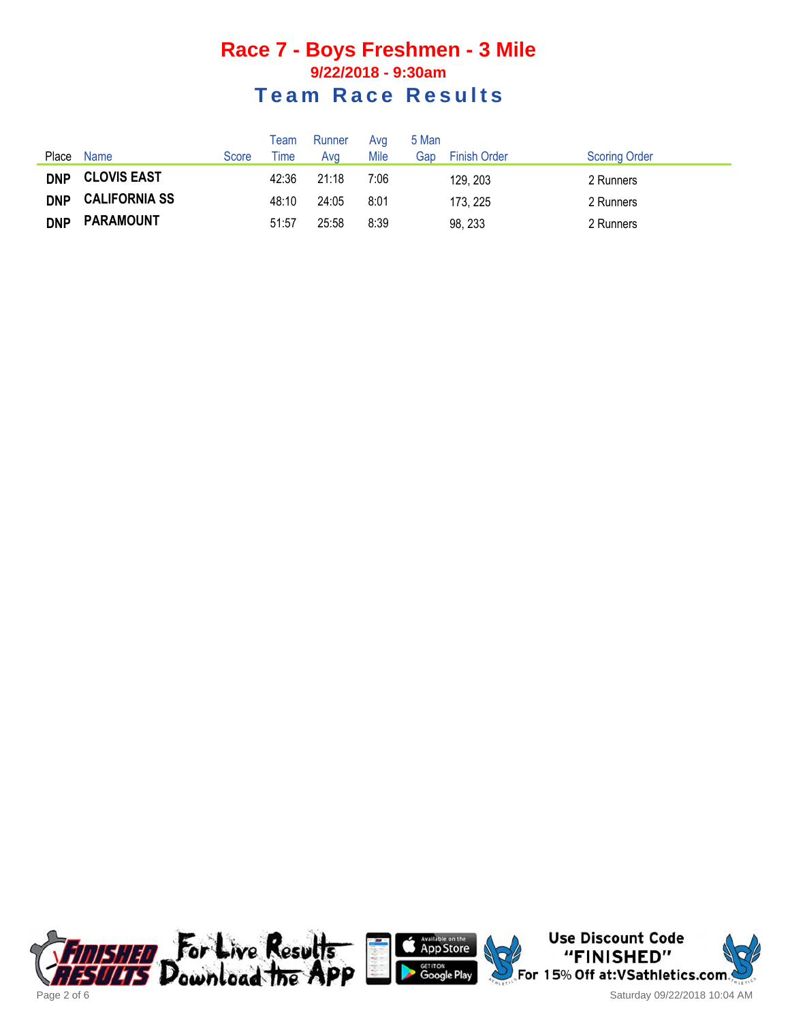| Place      | Name                 | Score | Team<br><b>Time</b> | Runner<br>Ava | Avg<br>Mile | 5 Man<br>Gap | <b>Finish Order</b> | <b>Scoring Order</b> |
|------------|----------------------|-------|---------------------|---------------|-------------|--------------|---------------------|----------------------|
| <b>DNP</b> | <b>CLOVIS EAST</b>   |       | 42:36               | 21:18         | 7:06        |              | 129, 203            | 2 Runners            |
| <b>DNP</b> | <b>CALIFORNIA SS</b> |       | 48:10               | 24:05         | 8:01        |              | 173, 225            | 2 Runners            |
| <b>DNP</b> | <b>PARAMOUNT</b>     |       | 51:57               | 25:58         | 8:39        |              | 98, 233             | 2 Runners            |





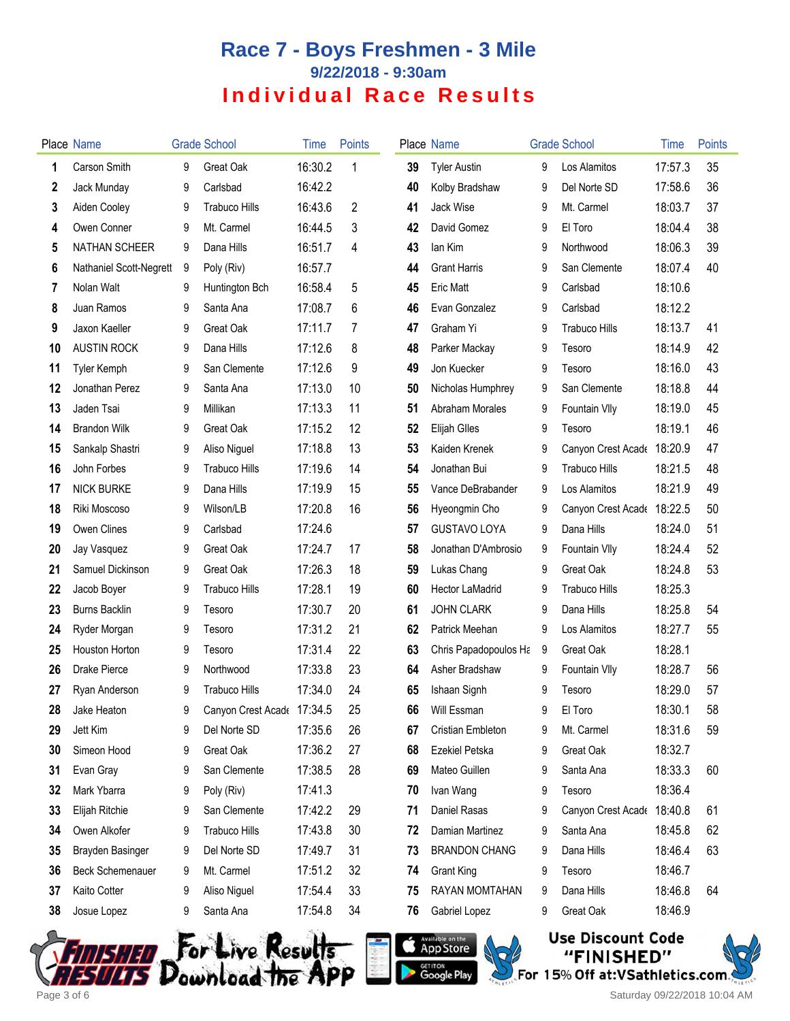|    | Place Name              |   | <b>Grade School</b>        | Time    | <b>Points</b> |    | Place Name               |   | <b>Grade School</b>        | <b>Time</b> | Points |
|----|-------------------------|---|----------------------------|---------|---------------|----|--------------------------|---|----------------------------|-------------|--------|
| 1  | <b>Carson Smith</b>     | 9 | Great Oak                  | 16:30.2 | 1             | 39 | <b>Tyler Austin</b>      | 9 | Los Alamitos               | 17:57.3     | 35     |
| 2  | Jack Munday             | 9 | Carlsbad                   | 16:42.2 |               | 40 | Kolby Bradshaw           | 9 | Del Norte SD               | 17:58.6     | 36     |
| 3  | Aiden Cooley            | 9 | <b>Trabuco Hills</b>       | 16:43.6 | 2             | 41 | Jack Wise                | 9 | Mt. Carmel                 | 18:03.7     | 37     |
| 4  | Owen Conner             | 9 | Mt. Carmel                 | 16:44.5 | 3             | 42 | David Gomez              | 9 | El Toro                    | 18:04.4     | 38     |
| 5  | NATHAN SCHEER           | 9 | Dana Hills                 | 16:51.7 | 4             | 43 | lan Kim                  | 9 | Northwood                  | 18:06.3     | 39     |
| 6  | Nathaniel Scott-Negrett | 9 | Poly (Riv)                 | 16:57.7 |               | 44 | <b>Grant Harris</b>      | 9 | San Clemente               | 18:07.4     | 40     |
| 7  | Nolan Walt              | 9 | Huntington Bch             | 16:58.4 | 5             | 45 | <b>Eric Matt</b>         | 9 | Carlsbad                   | 18:10.6     |        |
| 8  | Juan Ramos              | 9 | Santa Ana                  | 17:08.7 | 6             | 46 | Evan Gonzalez            | 9 | Carlsbad                   | 18:12.2     |        |
| 9  | Jaxon Kaeller           | 9 | Great Oak                  | 17:11.7 | 7             | 47 | Graham Yi                | 9 | <b>Trabuco Hills</b>       | 18:13.7     | 41     |
| 10 | <b>AUSTIN ROCK</b>      | 9 | Dana Hills                 | 17:12.6 | 8             | 48 | Parker Mackay            | 9 | Tesoro                     | 18:14.9     | 42     |
| 11 | <b>Tyler Kemph</b>      | 9 | San Clemente               | 17:12.6 | 9             | 49 | Jon Kuecker              | 9 | Tesoro                     | 18:16.0     | 43     |
| 12 | Jonathan Perez          | 9 | Santa Ana                  | 17:13.0 | 10            | 50 | Nicholas Humphrey        | 9 | San Clemente               | 18:18.8     | 44     |
| 13 | Jaden Tsai              | 9 | Millikan                   | 17:13.3 | 11            | 51 | Abraham Morales          | 9 | Fountain Vlly              | 18:19.0     | 45     |
| 14 | <b>Brandon Wilk</b>     | 9 | Great Oak                  | 17:15.2 | 12            | 52 | <b>Elijah Glles</b>      | 9 | Tesoro                     | 18:19.1     | 46     |
| 15 | Sankalp Shastri         | 9 | Aliso Niguel               | 17:18.8 | 13            | 53 | Kaiden Krenek            | 9 | Canyon Crest Acade 18:20.9 |             | 47     |
| 16 | John Forbes             | 9 | <b>Trabuco Hills</b>       | 17:19.6 | 14            | 54 | Jonathan Bui             | 9 | <b>Trabuco Hills</b>       | 18:21.5     | 48     |
| 17 | <b>NICK BURKE</b>       | 9 | Dana Hills                 | 17:19.9 | 15            | 55 | Vance DeBrabander        | 9 | Los Alamitos               | 18:21.9     | 49     |
| 18 | Riki Moscoso            | 9 | Wilson/LB                  | 17:20.8 | 16            | 56 | Hyeongmin Cho            | 9 | Canyon Crest Acade         | 18:22.5     | 50     |
| 19 | Owen Clines             | 9 | Carlsbad                   | 17:24.6 |               | 57 | <b>GUSTAVO LOYA</b>      | 9 | Dana Hills                 | 18:24.0     | 51     |
| 20 | Jay Vasquez             | 9 | Great Oak                  | 17:24.7 | 17            | 58 | Jonathan D'Ambrosio      | 9 | Fountain VIIy              | 18:24.4     | 52     |
| 21 | Samuel Dickinson        | 9 | Great Oak                  | 17:26.3 | 18            | 59 | Lukas Chang              | 9 | Great Oak                  | 18:24.8     | 53     |
| 22 | Jacob Boyer             | 9 | <b>Trabuco Hills</b>       | 17:28.1 | 19            | 60 | <b>Hector LaMadrid</b>   | 9 | Trabuco Hills              | 18:25.3     |        |
| 23 | <b>Burns Backlin</b>    | 9 | Tesoro                     | 17:30.7 | 20            | 61 | <b>JOHN CLARK</b>        | 9 | Dana Hills                 | 18:25.8     | 54     |
| 24 | Ryder Morgan            | 9 | Tesoro                     | 17:31.2 | 21            | 62 | Patrick Meehan           | 9 | Los Alamitos               | 18:27.7     | 55     |
| 25 | Houston Horton          | 9 | Tesoro                     | 17:31.4 | 22            | 63 | Chris Papadopoulos Ha    | 9 | Great Oak                  | 18:28.1     |        |
| 26 | Drake Pierce            | 9 | Northwood                  | 17:33.8 | 23            | 64 | Asher Bradshaw           | 9 | Fountain VIIy              | 18:28.7     | 56     |
| 27 | Ryan Anderson           | 9 | <b>Trabuco Hills</b>       | 17:34.0 | 24            | 65 | Ishaan Signh             | 9 | Tesoro                     | 18:29.0     | 57     |
| 28 | Jake Heaton             | 9 | Canyon Crest Acade 17:34.5 |         | 25            | 66 | Will Essman              | 9 | El Toro                    | 18:30.1     | 58     |
| 29 | Jett Kim                | 9 | Del Norte SD               | 17:35.6 | 26            | 67 | <b>Cristian Embleton</b> | 9 | Mt. Carmel                 | 18:31.6     | 59     |
| 30 | Simeon Hood             | 9 | Great Oak                  | 17:36.2 | 27            | 68 | Ezekiel Petska           | 9 | Great Oak                  | 18:32.7     |        |
| 31 | Evan Gray               | 9 | San Clemente               | 17:38.5 | 28            | 69 | Mateo Guillen            | 9 | Santa Ana                  | 18:33.3     | 60     |
| 32 | Mark Ybarra             | 9 | Poly (Riv)                 | 17:41.3 |               | 70 | Ivan Wang                | 9 | Tesoro                     | 18:36.4     |        |
| 33 | Elijah Ritchie          | 9 | San Clemente               | 17:42.2 | 29            | 71 | Daniel Rasas             | 9 | Canyon Crest Acade         | 18:40.8     | 61     |
| 34 | Owen Alkofer            | 9 | <b>Trabuco Hills</b>       | 17:43.8 | 30            | 72 | Damian Martinez          | 9 | Santa Ana                  | 18:45.8     | 62     |
| 35 | Brayden Basinger        | 9 | Del Norte SD               | 17:49.7 | 31            | 73 | <b>BRANDON CHANG</b>     | 9 | Dana Hills                 | 18:46.4     | 63     |
| 36 | <b>Beck Schemenauer</b> | 9 | Mt. Carmel                 | 17:51.2 | 32            | 74 | <b>Grant King</b>        | 9 | Tesoro                     | 18:46.7     |        |
| 37 | Kaito Cotter            | 9 | Aliso Niguel               | 17:54.4 | 33            | 75 | RAYAN MOMTAHAN           | 9 | Dana Hills                 | 18:46.8     | 64     |
| 38 | Josue Lopez             | 9 | Santa Ana                  | 17:54.8 | 34            | 76 | Gabriel Lopez            | 9 | Great Oak                  | 18:46.9     |        |







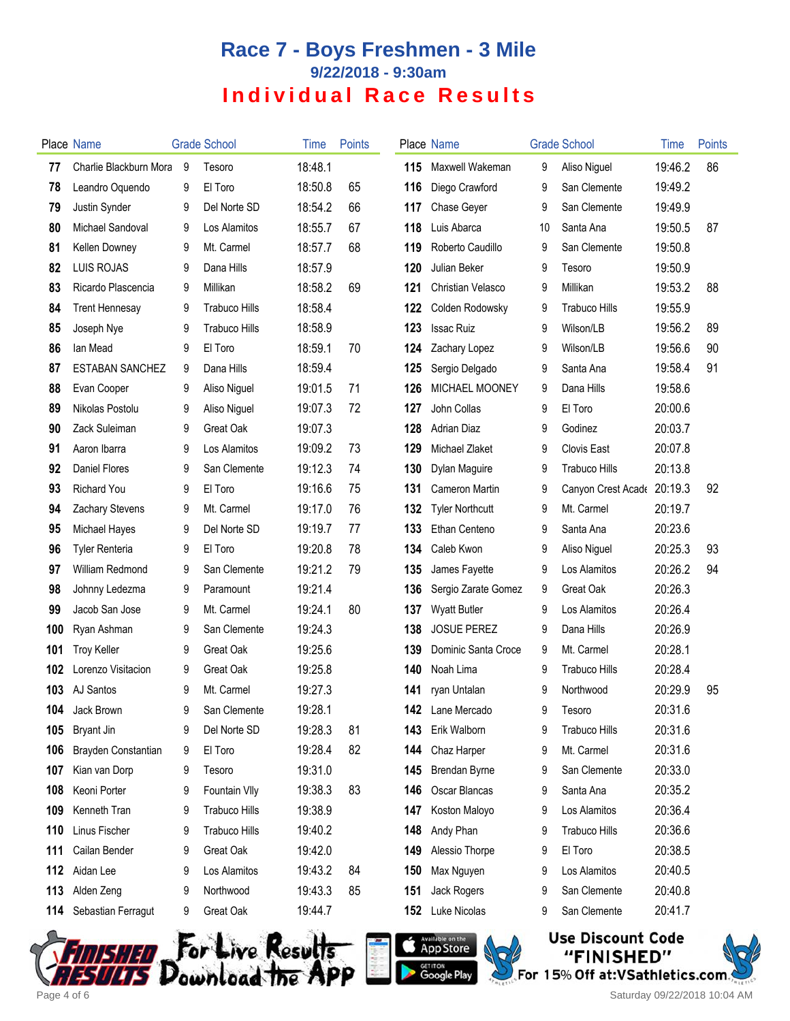|     | Place Name             |   | <b>Grade School</b>  | Time    | <b>Points</b> |     | Place Name              |    | <b>Grade School</b>  | Time    | Points |
|-----|------------------------|---|----------------------|---------|---------------|-----|-------------------------|----|----------------------|---------|--------|
| 77  | Charlie Blackburn Mora | 9 | Tesoro               | 18:48.1 |               | 115 | Maxwell Wakeman         | 9  | Aliso Niguel         | 19:46.2 | 86     |
| 78  | Leandro Oquendo        | 9 | El Toro              | 18:50.8 | 65            | 116 | Diego Crawford          | 9  | San Clemente         | 19:49.2 |        |
| 79  | Justin Synder          | 9 | Del Norte SD         | 18:54.2 | 66            | 117 | Chase Geyer             | 9  | San Clemente         | 19:49.9 |        |
| 80  | Michael Sandoval       | 9 | Los Alamitos         | 18:55.7 | 67            | 118 | Luis Abarca             | 10 | Santa Ana            | 19:50.5 | 87     |
| 81  | Kellen Downey          | 9 | Mt. Carmel           | 18:57.7 | 68            | 119 | Roberto Caudillo        | 9  | San Clemente         | 19:50.8 |        |
| 82  | LUIS ROJAS             | 9 | Dana Hills           | 18:57.9 |               | 120 | Julian Beker            | 9  | Tesoro               | 19:50.9 |        |
| 83  | Ricardo Plascencia     | 9 | Millikan             | 18:58.2 | 69            | 121 | Christian Velasco       | 9  | Millikan             | 19:53.2 | 88     |
| 84  | <b>Trent Hennesay</b>  | 9 | <b>Trabuco Hills</b> | 18:58.4 |               | 122 | Colden Rodowsky         | 9  | <b>Trabuco Hills</b> | 19:55.9 |        |
| 85  | Joseph Nye             | 9 | <b>Trabuco Hills</b> | 18:58.9 |               | 123 | <b>Issac Ruiz</b>       | 9  | Wilson/LB            | 19:56.2 | 89     |
| 86  | lan Mead               | 9 | El Toro              | 18:59.1 | 70            | 124 | Zachary Lopez           | 9  | Wilson/LB            | 19:56.6 | 90     |
| 87  | ESTABAN SANCHEZ        | 9 | Dana Hills           | 18:59.4 |               | 125 | Sergio Delgado          | 9  | Santa Ana            | 19:58.4 | 91     |
| 88  | Evan Cooper            | 9 | Aliso Niguel         | 19:01.5 | 71            | 126 | <b>MICHAEL MOONEY</b>   | 9  | Dana Hills           | 19:58.6 |        |
| 89  | Nikolas Postolu        | 9 | Aliso Niguel         | 19:07.3 | 72            | 127 | John Collas             | 9  | El Toro              | 20:00.6 |        |
| 90  | Zack Suleiman          | 9 | Great Oak            | 19:07.3 |               | 128 | Adrian Diaz             | 9  | Godinez              | 20:03.7 |        |
| 91  | Aaron Ibarra           | 9 | Los Alamitos         | 19:09.2 | 73            | 129 | Michael Zlaket          | 9  | <b>Clovis East</b>   | 20:07.8 |        |
| 92  | <b>Daniel Flores</b>   | 9 | San Clemente         | 19:12.3 | 74            | 130 | Dylan Maguire           | 9  | <b>Trabuco Hills</b> | 20:13.8 |        |
| 93  | <b>Richard You</b>     | 9 | El Toro              | 19:16.6 | 75            | 131 | <b>Cameron Martin</b>   | 9  | Canyon Crest Acade   | 20:19.3 | 92     |
| 94  | Zachary Stevens        | 9 | Mt. Carmel           | 19:17.0 | 76            | 132 | <b>Tyler Northcutt</b>  | 9  | Mt. Carmel           | 20:19.7 |        |
| 95  | Michael Hayes          | 9 | Del Norte SD         | 19:19.7 | 77            | 133 | Ethan Centeno           | 9  | Santa Ana            | 20:23.6 |        |
| 96  | <b>Tyler Renteria</b>  | 9 | El Toro              | 19:20.8 | 78            | 134 | Caleb Kwon              | 9  | Aliso Niguel         | 20:25.3 | 93     |
| 97  | William Redmond        | 9 | San Clemente         | 19:21.2 | 79            | 135 | James Fayette           | 9  | Los Alamitos         | 20:26.2 | 94     |
| 98  | Johnny Ledezma         | 9 | Paramount            | 19:21.4 |               | 136 | Sergio Zarate Gomez     | 9  | Great Oak            | 20:26.3 |        |
| 99  | Jacob San Jose         | 9 | Mt. Carmel           | 19:24.1 | 80            | 137 | <b>Wyatt Butler</b>     | 9  | Los Alamitos         | 20:26.4 |        |
| 100 | Ryan Ashman            | 9 | San Clemente         | 19:24.3 |               | 138 | <b>JOSUE PEREZ</b>      | 9  | Dana Hills           | 20:26.9 |        |
| 101 | <b>Troy Keller</b>     | 9 | Great Oak            | 19:25.6 |               | 139 | Dominic Santa Croce     | 9  | Mt. Carmel           | 20:28.1 |        |
| 102 | Lorenzo Visitacion     | 9 | Great Oak            | 19:25.8 |               | 140 | Noah Lima               | 9  | <b>Trabuco Hills</b> | 20:28.4 |        |
| 103 | AJ Santos              | 9 | Mt. Carmel           | 19:27.3 |               | 141 | ryan Untalan            | 9  | Northwood            | 20:29.9 | 95     |
|     | <b>104</b> Jack Brown  | 9 | San Clemente         | 19:28.1 |               |     | <b>142</b> Lane Mercado | 9  | Tesoro               | 20:31.6 |        |
| 105 | <b>Bryant Jin</b>      | 9 | Del Norte SD         | 19:28.3 | 81            | 143 | Erik Walborn            | 9  | <b>Trabuco Hills</b> | 20:31.6 |        |
| 106 | Brayden Constantian    | 9 | El Toro              | 19:28.4 | 82            | 144 | Chaz Harper             | 9  | Mt. Carmel           | 20:31.6 |        |
| 107 | Kian van Dorp          | 9 | Tesoro               | 19:31.0 |               | 145 | Brendan Byrne           | 9  | San Clemente         | 20:33.0 |        |
| 108 | Keoni Porter           | 9 | Fountain Vlly        | 19:38.3 | 83            | 146 | Oscar Blancas           | 9  | Santa Ana            | 20:35.2 |        |
| 109 | Kenneth Tran           | 9 | <b>Trabuco Hills</b> | 19:38.9 |               | 147 | Koston Maloyo           | 9  | Los Alamitos         | 20:36.4 |        |
| 110 | Linus Fischer          | 9 | <b>Trabuco Hills</b> | 19:40.2 |               | 148 | Andy Phan               | 9  | <b>Trabuco Hills</b> | 20:36.6 |        |
| 111 | Cailan Bender          | 9 | Great Oak            | 19:42.0 |               | 149 | Alessio Thorpe          | 9  | El Toro              | 20:38.5 |        |
| 112 | Aidan Lee              | 9 | Los Alamitos         | 19:43.2 | 84            | 150 | Max Nguyen              | 9  | Los Alamitos         | 20:40.5 |        |
| 113 | Alden Zeng             | 9 | Northwood            | 19:43.3 | 85            | 151 | Jack Rogers             | 9  | San Clemente         | 20:40.8 |        |
| 114 | Sebastian Ferragut     | 9 | Great Oak            | 19:44.7 |               | 152 | Luke Nicolas            | 9  | San Clemente         | 20:41.7 |        |









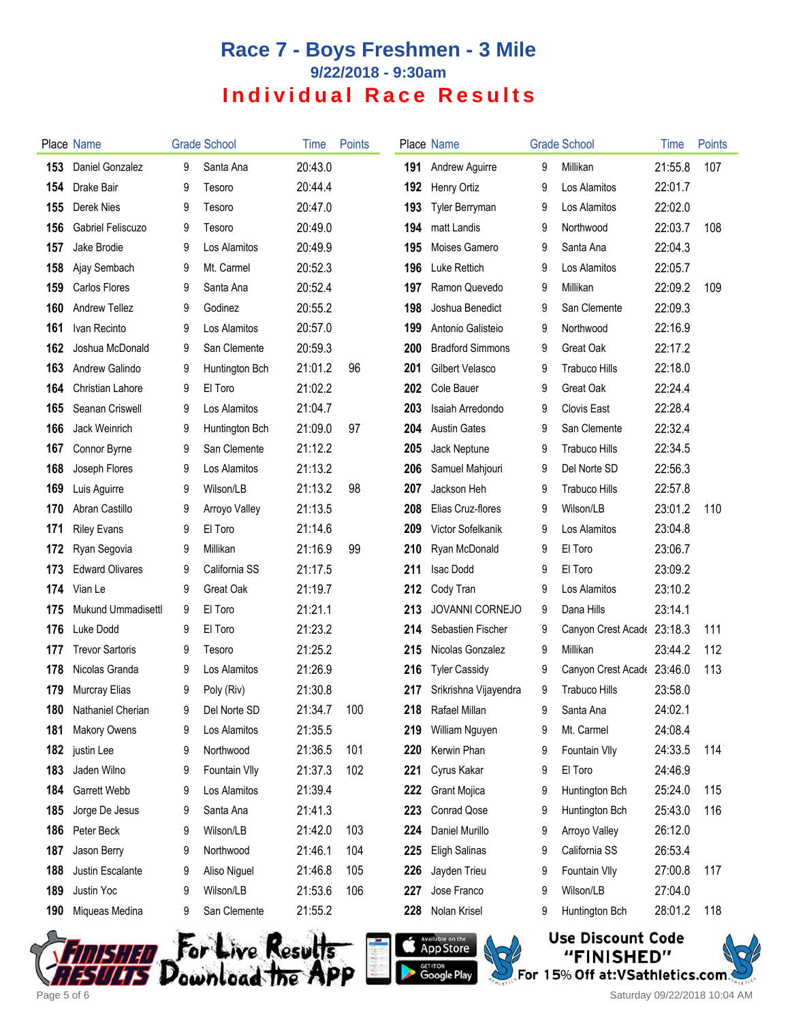|     | Place Name                |   | <b>Grade School</b> | Time    | <b>Points</b> |     | Place Name              |   | <b>Grade School</b>        | Time    | <b>Points</b> |
|-----|---------------------------|---|---------------------|---------|---------------|-----|-------------------------|---|----------------------------|---------|---------------|
| 153 | Daniel Gonzalez           | 9 | Santa Ana           | 20:43.0 |               | 191 | Andrew Aguirre          | 9 | Millikan                   | 21:55.8 | 107           |
| 154 | Drake Bair                | 9 | Tesoro              | 20:44.4 |               | 192 | Henry Ortiz             | 9 | Los Alamitos               | 22:01.7 |               |
| 155 | Derek Nies                | 9 | Tesoro              | 20:47.0 |               | 193 | Tyler Berryman          | 9 | Los Alamitos               | 22:02.0 |               |
| 156 | Gabriel Feliscuzo         | 9 | Tesoro              | 20:49.0 |               | 194 | matt Landis             | 9 | Northwood                  | 22:03.7 | 108           |
| 157 | Jake Brodie               | 9 | Los Alamitos        | 20:49.9 |               | 195 | Moises Gamero           | 9 | Santa Ana                  | 22:04.3 |               |
| 158 | Ajay Sembach              | 9 | Mt. Carmel          | 20:52.3 |               | 196 | Luke Rettich            | 9 | Los Alamitos               | 22:05.7 |               |
| 159 | Carlos Flores             | 9 | Santa Ana           | 20:52.4 |               | 197 | Ramon Quevedo           | 9 | Millikan                   | 22:09.2 | 109           |
| 160 | Andrew Tellez             | 9 | Godinez             | 20:55.2 |               | 198 | Joshua Benedict         | 9 | San Clemente               | 22:09.3 |               |
| 161 | Ivan Recinto              | 9 | Los Alamitos        | 20:57.0 |               | 199 | Antonio Galisteio       | 9 | Northwood                  | 22:16.9 |               |
| 162 | Joshua McDonald           | 9 | San Clemente        | 20:59.3 |               | 200 | <b>Bradford Simmons</b> | 9 | Great Oak                  | 22:17.2 |               |
| 163 | Andrew Galindo            | 9 | Huntington Bch      | 21:01.2 | 96            | 201 | Gilbert Velasco         | 9 | <b>Trabuco Hills</b>       | 22:18.0 |               |
| 164 | Christian Lahore          | 9 | El Toro             | 21:02.2 |               | 202 | Cole Bauer              | 9 | Great Oak                  | 22:24.4 |               |
| 165 | Seanan Criswell           | 9 | Los Alamitos        | 21:04.7 |               | 203 | Isaiah Arredondo        | 9 | <b>Clovis East</b>         | 22:28.4 |               |
| 166 | Jack Weinrich             | 9 | Huntington Bch      | 21:09.0 | 97            | 204 | <b>Austin Gates</b>     | 9 | San Clemente               | 22:32.4 |               |
| 167 | Connor Byrne              | 9 | San Clemente        | 21:12.2 |               | 205 | Jack Neptune            | 9 | <b>Trabuco Hills</b>       | 22:34.5 |               |
| 168 | Joseph Flores             | 9 | Los Alamitos        | 21:13.2 |               | 206 | Samuel Mahjouri         | 9 | Del Norte SD               | 22:56.3 |               |
| 169 | Luis Aguirre              | 9 | Wilson/LB           | 21:13.2 | 98            | 207 | Jackson Heh             | 9 | <b>Trabuco Hills</b>       | 22:57.8 |               |
| 170 | Abran Castillo            | 9 | Arroyo Valley       | 21:13.5 |               | 208 | Elias Cruz-flores       | 9 | Wilson/LB                  | 23:01.2 | 110           |
| 171 | <b>Riley Evans</b>        | 9 | El Toro             | 21:14.6 |               | 209 | Victor Sofelkanik       | 9 | Los Alamitos               | 23:04.8 |               |
| 172 | Ryan Segovia              | 9 | Millikan            | 21:16.9 | 99            | 210 | Ryan McDonald           | 9 | El Toro                    | 23:06.7 |               |
| 173 | <b>Edward Olivares</b>    | 9 | California SS       | 21:17.5 |               | 211 | <b>Isac Dodd</b>        | 9 | El Toro                    | 23:09.2 |               |
| 174 | Vian Le                   | 9 | Great Oak           | 21:19.7 |               | 212 | Cody Tran               | 9 | Los Alamitos               | 23:10.2 |               |
| 175 | <b>Mukund Ummadisettl</b> | 9 | El Toro             | 21:21.1 |               | 213 | JOVANNI CORNEJO         | 9 | Dana Hills                 | 23:14.1 |               |
| 176 | Luke Dodd                 | 9 | El Toro             | 21:23.2 |               | 214 | Sebastien Fischer       | 9 | Canyon Crest Acade 23:18.3 |         | 111           |
| 177 | <b>Trevor Sartoris</b>    | 9 | Tesoro              | 21:25.2 |               | 215 | Nicolas Gonzalez        | 9 | Millikan                   | 23:44.2 | 112           |
| 178 | Nicolas Granda            | 9 | Los Alamitos        | 21:26.9 |               | 216 | <b>Tyler Cassidy</b>    | 9 | Canyon Crest Acade 23:46.0 |         | 113           |
| 179 | Murcray Elias             | 9 | Poly (Riv)          | 21:30.8 |               | 217 | Srikrishna Vijayendra   | 9 | <b>Trabuco Hills</b>       | 23:58.0 |               |
| 180 | Nathaniel Cherian         | 9 | Del Norte SD        | 21:34.7 | 100           | 218 | Rafael Millan           | 9 | Santa Ana                  | 24:02.1 |               |
| 181 | <b>Makory Owens</b>       | 9 | Los Alamitos        | 21:35.5 |               | 219 | William Nguyen          | 9 | Mt. Carmel                 | 24:08.4 |               |
| 182 | justin Lee                | 9 | Northwood           | 21:36.5 | 101           | 220 | Kerwin Phan             | 9 | Fountain VIIy              | 24:33.5 | 114           |
| 183 | Jaden Wilno               | 9 | Fountain VIIy       | 21:37.3 | 102           | 221 | Cyrus Kakar             | 9 | El Toro                    | 24:46.9 |               |
| 184 | Garrett Webb              | 9 | Los Alamitos        | 21:39.4 |               | 222 | Grant Mojica            | 9 | Huntington Bch             | 25:24.0 | 115           |
| 185 | Jorge De Jesus            | 9 | Santa Ana           | 21:41.3 |               | 223 | Conrad Qose             | 9 | Huntington Bch             | 25:43.0 | 116           |
| 186 | Peter Beck                | 9 | Wilson/LB           | 21:42.0 | 103           | 224 | Daniel Murillo          | 9 | Arroyo Valley              | 26:12.0 |               |
| 187 | Jason Berry               | 9 | Northwood           | 21:46.1 | 104           | 225 | <b>Eligh Salinas</b>    | 9 | California SS              | 26:53.4 |               |
| 188 | Justin Escalante          | 9 | Aliso Niguel        | 21:46.8 | 105           | 226 | Jayden Trieu            | 9 | Fountain VIIy              | 27:00.8 | 117           |
| 189 | Justin Yoc                | 9 | Wilson/LB           | 21:53.6 | 106           | 227 | Jose Franco             | 9 | Wilson/LB                  | 27:04.0 |               |
| 190 | Miqueas Medina            | 9 | San Clemente        | 21:55.2 |               | 228 | Nolan Krisel            | 9 | Huntington Bch             | 28:01.2 | 118           |